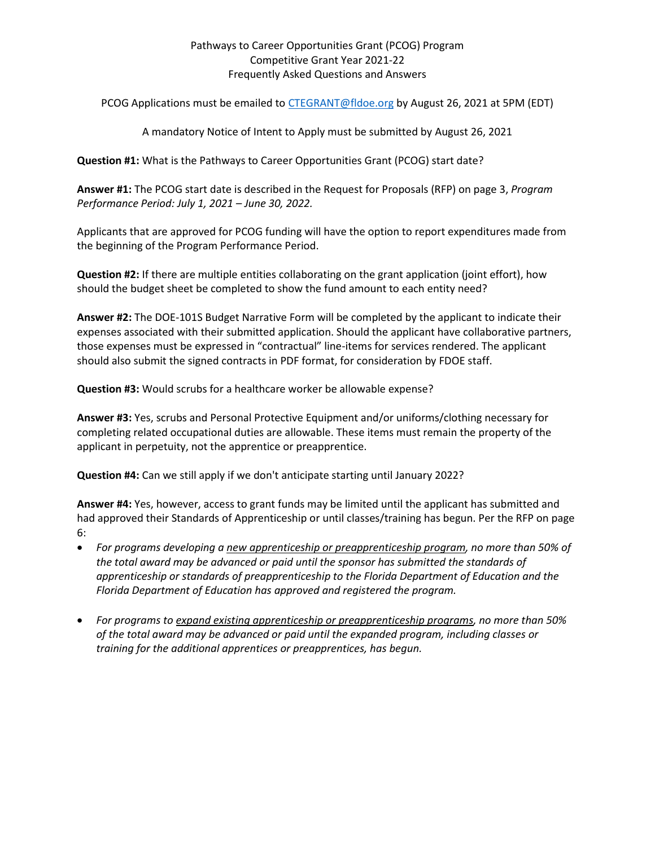## Pathways to Career Opportunities Grant (PCOG) Program Competitive Grant Year 2021-22 Frequently Asked Questions and Answers

PCOG Applications must be emailed to [CTEGRANT@fldoe.org](mailto:CTEGRANT@fldoe.org) by August 26, 2021 at 5PM (EDT)

A mandatory Notice of Intent to Apply must be submitted by August 26, 2021

**Question #1:** What is the Pathways to Career Opportunities Grant (PCOG) start date?

**Answer #1:** The PCOG start date is described in the Request for Proposals (RFP) on page 3, *Program Performance Period: July 1, 2021 – June 30, 2022.* 

Applicants that are approved for PCOG funding will have the option to report expenditures made from the beginning of the Program Performance Period.

**Question #2:** If there are multiple entities collaborating on the grant application (joint effort), how should the budget sheet be completed to show the fund amount to each entity need?

**Answer #2:** The DOE-101S Budget Narrative Form will be completed by the applicant to indicate their expenses associated with their submitted application. Should the applicant have collaborative partners, those expenses must be expressed in "contractual" line-items for services rendered. The applicant should also submit the signed contracts in PDF format, for consideration by FDOE staff.

**Question #3:** Would scrubs for a healthcare worker be allowable expense?

**Answer #3:** Yes, scrubs and Personal Protective Equipment and/or uniforms/clothing necessary for completing related occupational duties are allowable. These items must remain the property of the applicant in perpetuity, not the apprentice or preapprentice.

**Question #4:** Can we still apply if we don't anticipate starting until January 2022?

**Answer #4:** Yes, however, access to grant funds may be limited until the applicant has submitted and had approved their Standards of Apprenticeship or until classes/training has begun. Per the RFP on page 6:

- *For programs developing a new apprenticeship or preapprenticeship program, no more than 50% of the total award may be advanced or paid until the sponsor has submitted the standards of apprenticeship or standards of preapprenticeship to the Florida Department of Education and the Florida Department of Education has approved and registered the program.*
- *For programs to expand existing apprenticeship or preapprenticeship programs, no more than 50% of the total award may be advanced or paid until the expanded program, including classes or training for the additional apprentices or preapprentices, has begun.*